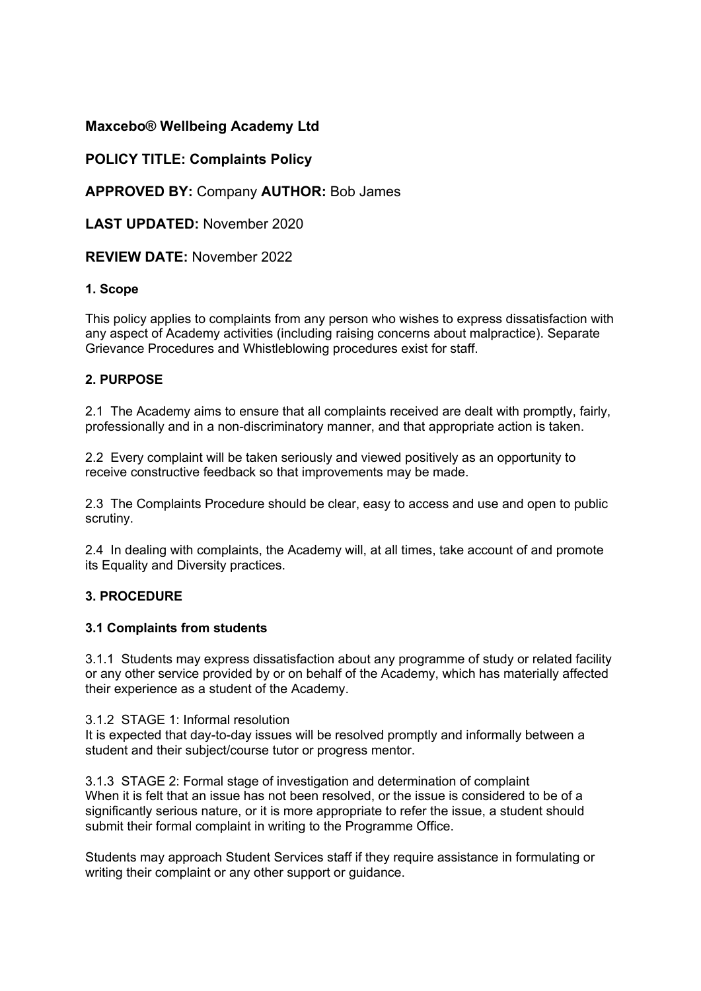# **Maxcebo® Wellbeing Academy Ltd**

# **POLICY TITLE: Complaints Policy**

**APPROVED BY:** Company **AUTHOR:** Bob James

**LAST UPDATED:** November 2020

**REVIEW DATE:** November 2022

## **1. Scope**

This policy applies to complaints from any person who wishes to express dissatisfaction with any aspect of Academy activities (including raising concerns about malpractice). Separate Grievance Procedures and Whistleblowing procedures exist for staff.

## **2. PURPOSE**

2.1 The Academy aims to ensure that all complaints received are dealt with promptly, fairly, professionally and in a non-discriminatory manner, and that appropriate action is taken.

2.2 Every complaint will be taken seriously and viewed positively as an opportunity to receive constructive feedback so that improvements may be made.

2.3 The Complaints Procedure should be clear, easy to access and use and open to public scrutiny.

2.4 In dealing with complaints, the Academy will, at all times, take account of and promote its Equality and Diversity practices.

## **3. PROCEDURE**

## **3.1 Complaints from students**

3.1.1 Students may express dissatisfaction about any programme of study or related facility or any other service provided by or on behalf of the Academy, which has materially affected their experience as a student of the Academy.

3.1.2 STAGE 1: Informal resolution

It is expected that day-to-day issues will be resolved promptly and informally between a student and their subject/course tutor or progress mentor.

3.1.3 STAGE 2: Formal stage of investigation and determination of complaint When it is felt that an issue has not been resolved, or the issue is considered to be of a significantly serious nature, or it is more appropriate to refer the issue, a student should submit their formal complaint in writing to the Programme Office.

Students may approach Student Services staff if they require assistance in formulating or writing their complaint or any other support or guidance.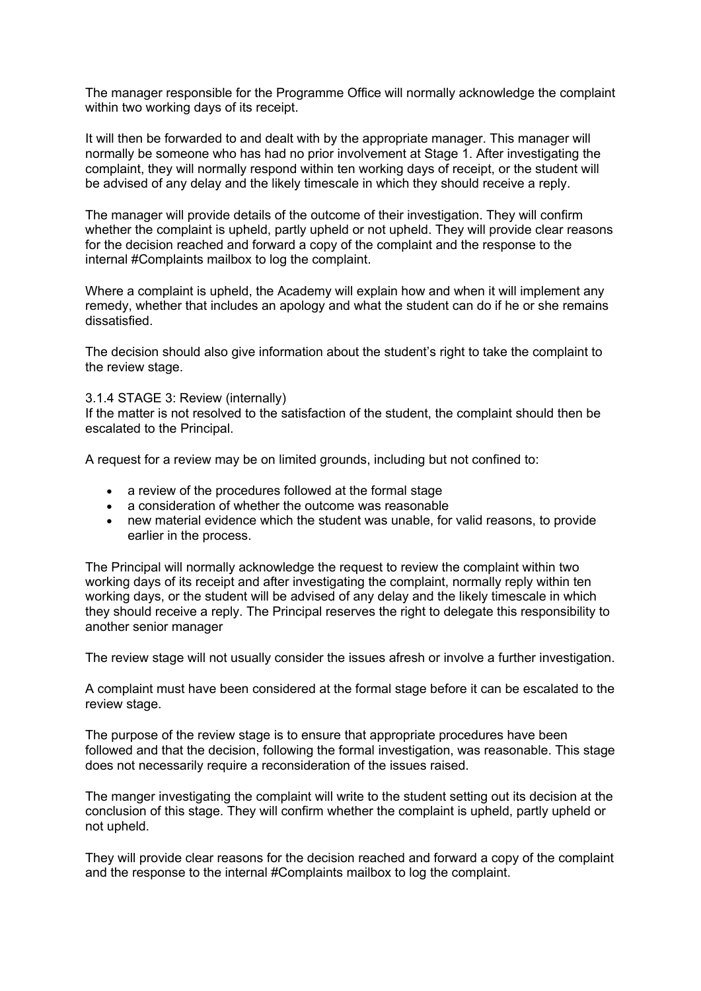The manager responsible for the Programme Office will normally acknowledge the complaint within two working days of its receipt.

It will then be forwarded to and dealt with by the appropriate manager. This manager will normally be someone who has had no prior involvement at Stage 1. After investigating the complaint, they will normally respond within ten working days of receipt, or the student will be advised of any delay and the likely timescale in which they should receive a reply.

The manager will provide details of the outcome of their investigation. They will confirm whether the complaint is upheld, partly upheld or not upheld. They will provide clear reasons for the decision reached and forward a copy of the complaint and the response to the internal #Complaints mailbox to log the complaint.

Where a complaint is upheld, the Academy will explain how and when it will implement any remedy, whether that includes an apology and what the student can do if he or she remains dissatisfied.

The decision should also give information about the student's right to take the complaint to the review stage.

#### 3.1.4 STAGE 3: Review (internally)

If the matter is not resolved to the satisfaction of the student, the complaint should then be escalated to the Principal.

A request for a review may be on limited grounds, including but not confined to:

- a review of the procedures followed at the formal stage
- a consideration of whether the outcome was reasonable
- new material evidence which the student was unable, for valid reasons, to provide earlier in the process.

The Principal will normally acknowledge the request to review the complaint within two working days of its receipt and after investigating the complaint, normally reply within ten working days, or the student will be advised of any delay and the likely timescale in which they should receive a reply. The Principal reserves the right to delegate this responsibility to another senior manager

The review stage will not usually consider the issues afresh or involve a further investigation.

A complaint must have been considered at the formal stage before it can be escalated to the review stage.

The purpose of the review stage is to ensure that appropriate procedures have been followed and that the decision, following the formal investigation, was reasonable. This stage does not necessarily require a reconsideration of the issues raised.

The manger investigating the complaint will write to the student setting out its decision at the conclusion of this stage. They will confirm whether the complaint is upheld, partly upheld or not upheld.

They will provide clear reasons for the decision reached and forward a copy of the complaint and the response to the internal #Complaints mailbox to log the complaint.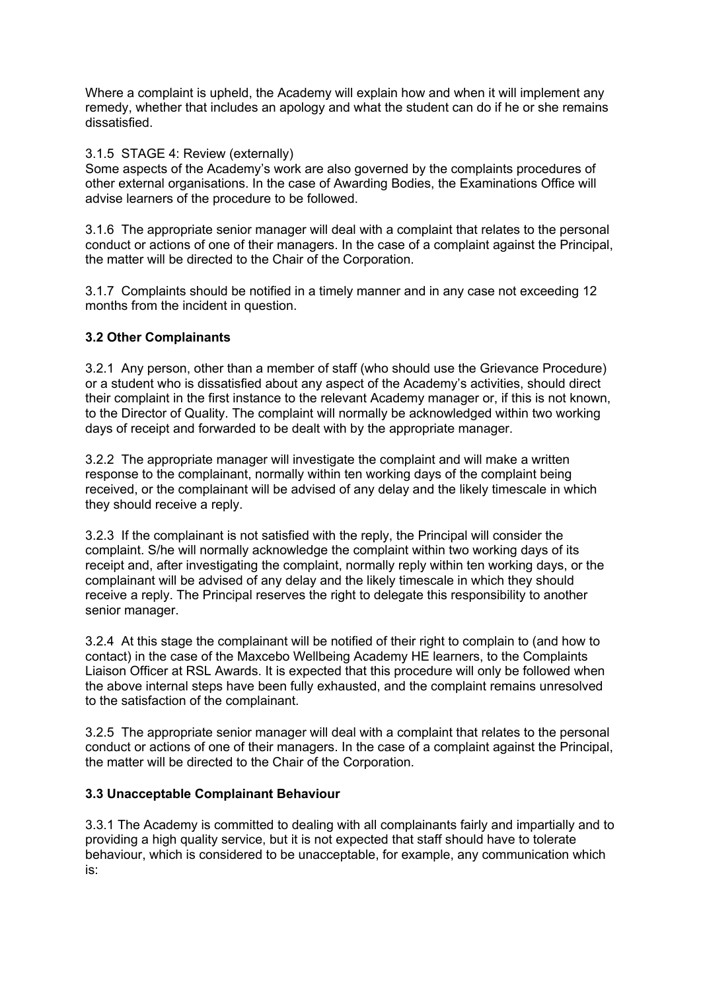Where a complaint is upheld, the Academy will explain how and when it will implement any remedy, whether that includes an apology and what the student can do if he or she remains dissatisfied.

3.1.5 STAGE 4: Review (externally)

Some aspects of the Academy's work are also governed by the complaints procedures of other external organisations. In the case of Awarding Bodies, the Examinations Office will advise learners of the procedure to be followed.

3.1.6 The appropriate senior manager will deal with a complaint that relates to the personal conduct or actions of one of their managers. In the case of a complaint against the Principal, the matter will be directed to the Chair of the Corporation.

3.1.7 Complaints should be notified in a timely manner and in any case not exceeding 12 months from the incident in question.

## **3.2 Other Complainants**

3.2.1 Any person, other than a member of staff (who should use the Grievance Procedure) or a student who is dissatisfied about any aspect of the Academy's activities, should direct their complaint in the first instance to the relevant Academy manager or, if this is not known, to the Director of Quality. The complaint will normally be acknowledged within two working days of receipt and forwarded to be dealt with by the appropriate manager.

3.2.2 The appropriate manager will investigate the complaint and will make a written response to the complainant, normally within ten working days of the complaint being received, or the complainant will be advised of any delay and the likely timescale in which they should receive a reply.

3.2.3 If the complainant is not satisfied with the reply, the Principal will consider the complaint. S/he will normally acknowledge the complaint within two working days of its receipt and, after investigating the complaint, normally reply within ten working days, or the complainant will be advised of any delay and the likely timescale in which they should receive a reply. The Principal reserves the right to delegate this responsibility to another senior manager.

3.2.4 At this stage the complainant will be notified of their right to complain to (and how to contact) in the case of the Maxcebo Wellbeing Academy HE learners, to the Complaints Liaison Officer at RSL Awards. It is expected that this procedure will only be followed when the above internal steps have been fully exhausted, and the complaint remains unresolved to the satisfaction of the complainant.

3.2.5 The appropriate senior manager will deal with a complaint that relates to the personal conduct or actions of one of their managers. In the case of a complaint against the Principal, the matter will be directed to the Chair of the Corporation.

## **3.3 Unacceptable Complainant Behaviour**

3.3.1 The Academy is committed to dealing with all complainants fairly and impartially and to providing a high quality service, but it is not expected that staff should have to tolerate behaviour, which is considered to be unacceptable, for example, any communication which is: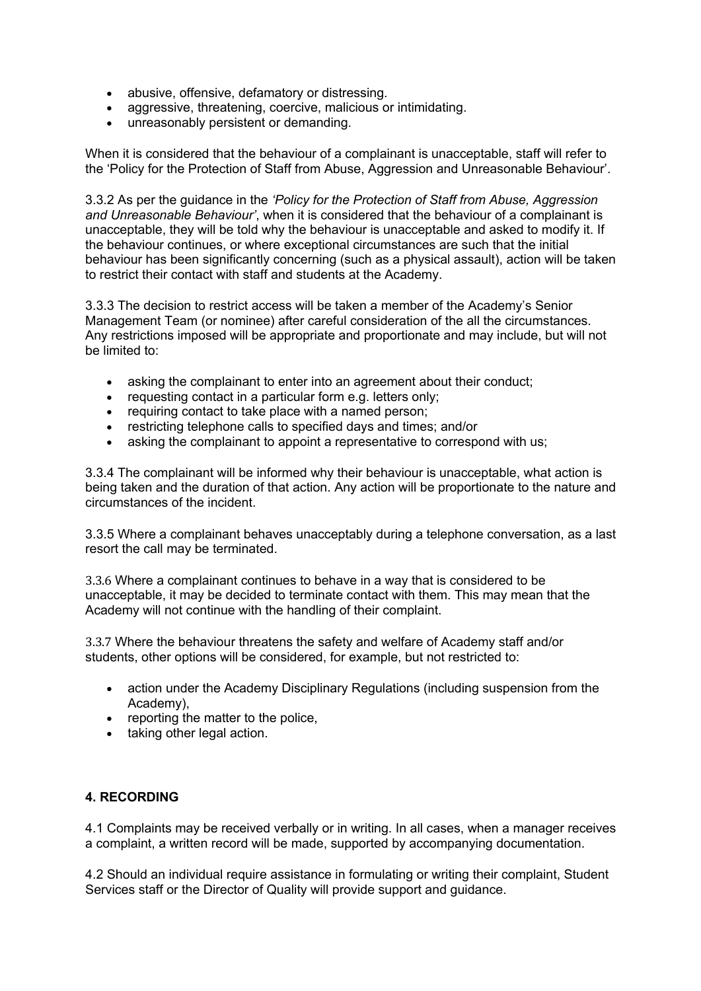- abusive, offensive, defamatory or distressing.
- aggressive, threatening, coercive, malicious or intimidating.
- unreasonably persistent or demanding.

When it is considered that the behaviour of a complainant is unacceptable, staff will refer to the 'Policy for the Protection of Staff from Abuse, Aggression and Unreasonable Behaviour'.

3.3.2 As per the guidance in the *'Policy for the Protection of Staff from Abuse, Aggression and Unreasonable Behaviour'*, when it is considered that the behaviour of a complainant is unacceptable, they will be told why the behaviour is unacceptable and asked to modify it. If the behaviour continues, or where exceptional circumstances are such that the initial behaviour has been significantly concerning (such as a physical assault), action will be taken to restrict their contact with staff and students at the Academy.

3.3.3 The decision to restrict access will be taken a member of the Academy's Senior Management Team (or nominee) after careful consideration of the all the circumstances. Any restrictions imposed will be appropriate and proportionate and may include, but will not be limited to:

- asking the complainant to enter into an agreement about their conduct;
- requesting contact in a particular form e.g. letters only;
- requiring contact to take place with a named person;
- restricting telephone calls to specified days and times; and/or
- asking the complainant to appoint a representative to correspond with us;

3.3.4 The complainant will be informed why their behaviour is unacceptable, what action is being taken and the duration of that action. Any action will be proportionate to the nature and circumstances of the incident.

3.3.5 Where a complainant behaves unacceptably during a telephone conversation, as a last resort the call may be terminated.

3.3.6 Where a complainant continues to behave in a way that is considered to be unacceptable, it may be decided to terminate contact with them. This may mean that the Academy will not continue with the handling of their complaint.

3.3.7 Where the behaviour threatens the safety and welfare of Academy staff and/or students, other options will be considered, for example, but not restricted to:

- action under the Academy Disciplinary Regulations (including suspension from the Academy),
- reporting the matter to the police,
- taking other legal action.

# **4. RECORDING**

4.1 Complaints may be received verbally or in writing. In all cases, when a manager receives a complaint, a written record will be made, supported by accompanying documentation.

4.2 Should an individual require assistance in formulating or writing their complaint, Student Services staff or the Director of Quality will provide support and guidance.